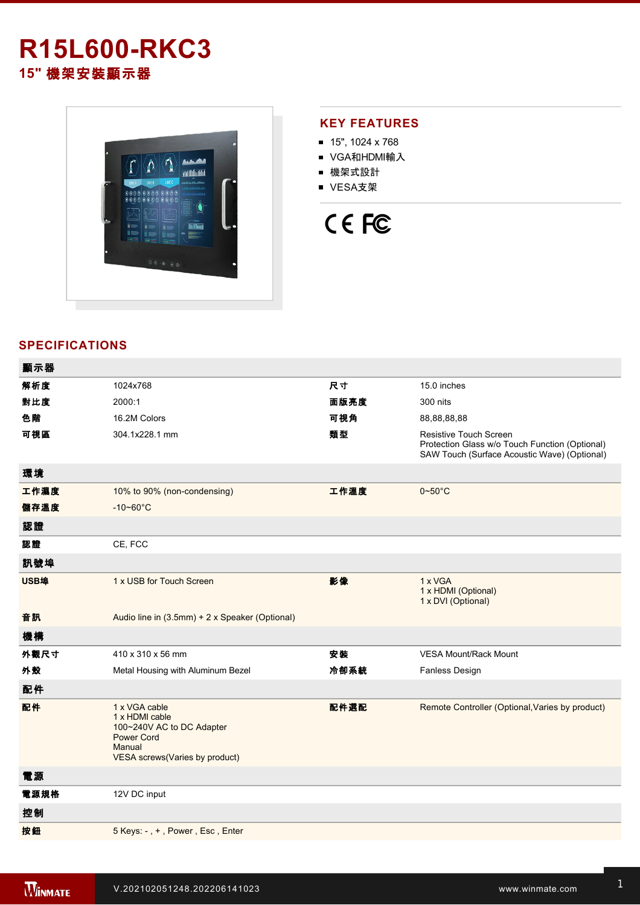## **R15L600-RKC3 15"** 機架安裝顯示器



## **KEY FEATURES**

- 15", 1024 x 768
- VGA和HDMI輸入
- 機架式設計
- VESA支架



## **SPECIFICATIONS**

| 顯示器  |                                                                                                                               |      |                                                                                                                                 |
|------|-------------------------------------------------------------------------------------------------------------------------------|------|---------------------------------------------------------------------------------------------------------------------------------|
| 解析度  | 1024x768                                                                                                                      | 尺寸   | 15.0 inches                                                                                                                     |
| 對比度  | 2000:1                                                                                                                        | 面版亮度 | 300 nits                                                                                                                        |
| 色階   | 16.2M Colors                                                                                                                  | 可視角  | 88,88,88,88                                                                                                                     |
| 可視區  | 304.1x228.1 mm                                                                                                                | 類型   | <b>Resistive Touch Screen</b><br>Protection Glass w/o Touch Function (Optional)<br>SAW Touch (Surface Acoustic Wave) (Optional) |
| 環境   |                                                                                                                               |      |                                                                                                                                 |
| 工作濕度 | 10% to 90% (non-condensing)                                                                                                   | 工作溫度 | $0 - 50$ °C                                                                                                                     |
| 儲存溫度 | $-10 - 60^{\circ}$ C                                                                                                          |      |                                                                                                                                 |
| 認證   |                                                                                                                               |      |                                                                                                                                 |
| 認證   | CE, FCC                                                                                                                       |      |                                                                                                                                 |
| 訊號埠  |                                                                                                                               |      |                                                                                                                                 |
| USB埠 | 1 x USB for Touch Screen                                                                                                      | 影像   | 1 x VGA<br>1 x HDMI (Optional)<br>1 x DVI (Optional)                                                                            |
| 音訊   | Audio line in (3.5mm) + 2 x Speaker (Optional)                                                                                |      |                                                                                                                                 |
| 機構   |                                                                                                                               |      |                                                                                                                                 |
| 外觀尺寸 | 410 x 310 x 56 mm                                                                                                             | 安装   | <b>VESA Mount/Rack Mount</b>                                                                                                    |
| 外殼   | Metal Housing with Aluminum Bezel                                                                                             | 冷卻系統 | <b>Fanless Design</b>                                                                                                           |
| 配件   |                                                                                                                               |      |                                                                                                                                 |
| 配件   | 1 x VGA cable<br>1 x HDMI cable<br>100~240V AC to DC Adapter<br><b>Power Cord</b><br>Manual<br>VESA screws(Varies by product) | 配件選配 | Remote Controller (Optional, Varies by product)                                                                                 |
| 電源   |                                                                                                                               |      |                                                                                                                                 |
| 電源規格 | 12V DC input                                                                                                                  |      |                                                                                                                                 |
| 控制   |                                                                                                                               |      |                                                                                                                                 |
| 按鈕   | 5 Keys: -, +, Power, Esc, Enter                                                                                               |      |                                                                                                                                 |
|      |                                                                                                                               |      |                                                                                                                                 |

**DIMENSIONS**  UNIT:MM